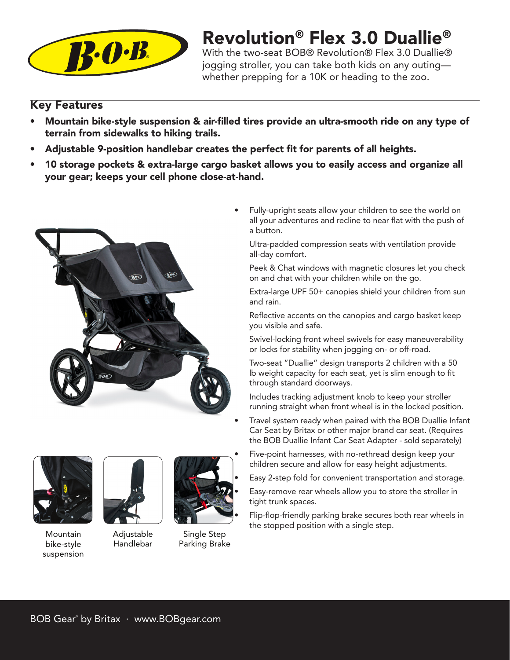

# Revolution® Flex 3.0 Duallie®

With the two-seat BOB® Revolution® Flex 3.0 Duallie® jogging stroller, you can take both kids on any outing whether prepping for a 10K or heading to the zoo.

## Key Features

- Mountain bike-style suspension & air-filled tires provide an ultra-smooth ride on any type of terrain from sidewalks to hiking trails.
- Adjustable 9-position handlebar creates the perfect fit for parents of all heights.
- 10 storage pockets & extra-large cargo basket allows you to easily access and organize all your gear; keeps your cell phone close-at-hand.



Fully-upright seats allow your children to see the world on all your adventures and recline to near flat with the push of a button.

Ultra-padded compression seats with ventilation provide all-day comfort.

Peek & Chat windows with magnetic closures let you check on and chat with your children while on the go.

Extra-large UPF 50+ canopies shield your children from sun and rain.

Reflective accents on the canopies and cargo basket keep you visible and safe.

Swivel-locking front wheel swivels for easy maneuverability or locks for stability when jogging on- or off-road.

• Two-seat "Duallie" design transports 2 children with a 50 lb weight capacity for each seat, yet is slim enough to fit through standard doorways.

• Includes tracking adjustment knob to keep your stroller running straight when front wheel is in the locked position.

Travel system ready when paired with the BOB Duallie Infant Car Seat by Britax or other major brand car seat. (Requires the BOB Duallie Infant Car Seat Adapter - sold separately)



Mountain bike-style suspension



Adjustable Handlebar



Single Step Parking Brake

- Five-point harnesses, with no-rethread design keep your children secure and allow for easy height adjustments.
- Easy 2-step fold for convenient transportation and storage.

• Easy-remove rear wheels allow you to store the stroller in tight trunk spaces.

Flip-flop-friendly parking brake secures both rear wheels in the stopped position with a single step.